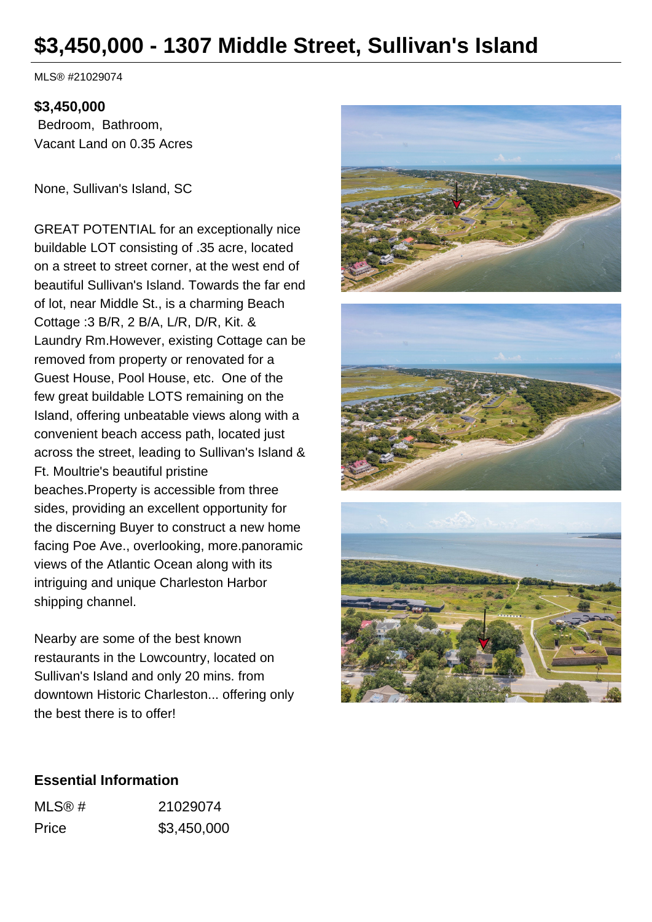# **\$3,450,000 - 1307 Middle Street, Sullivan's Island**

MLS® #21029074

#### **\$3,450,000**

 Bedroom, Bathroom, Vacant Land on 0.35 Acres

None, Sullivan's Island, SC

GREAT POTENTIAL for an exceptionally nice buildable LOT consisting of .35 acre, located on a street to street corner, at the west end of beautiful Sullivan's Island. Towards the far end of lot, near Middle St., is a charming Beach Cottage :3 B/R, 2 B/A, L/R, D/R, Kit. & Laundry Rm.However, existing Cottage can be removed from property or renovated for a Guest House, Pool House, etc. One of the few great buildable LOTS remaining on the Island, offering unbeatable views along with a convenient beach access path, located just across the street, leading to Sullivan's Island & Ft. Moultrie's beautiful pristine beaches.Property is accessible from three sides, providing an excellent opportunity for the discerning Buyer to construct a new home facing Poe Ave., overlooking, more.panoramic views of the Atlantic Ocean along with its intriguing and unique Charleston Harbor shipping channel.

Nearby are some of the best known restaurants in the Lowcountry, located on Sullivan's Island and only 20 mins. from downtown Historic Charleston... offering only the best there is to offer!







# **Essential Information**

| MLS@# | 21029074    |
|-------|-------------|
| Price | \$3,450,000 |